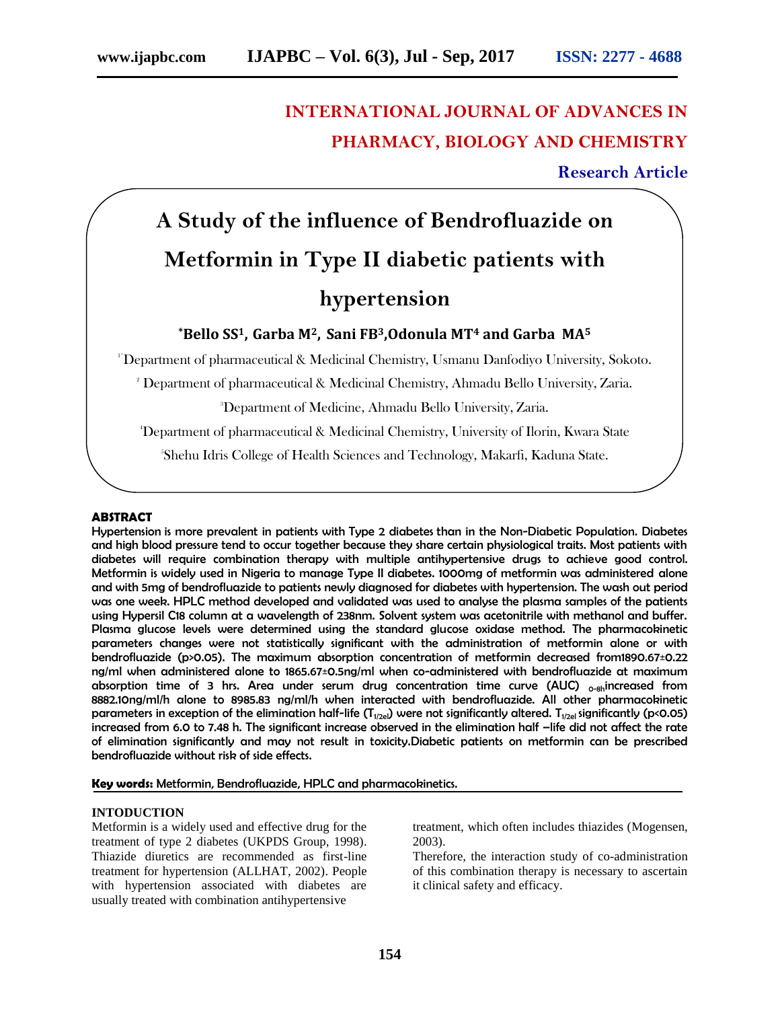# **INTERNATIONAL JOURNAL OF ADVANCES IN PHARMACY, BIOLOGY AND CHEMISTRY**

**Research Article**

# **A Study of the influence of Bendrofluazide on Metformin in Type II diabetic patients with hypertension**

### **\*Bello SS1, Garba M2, Sani FB3,Odonula MT<sup>4</sup> and Garba MA<sup>5</sup>**

1\*Department of pharmaceutical & Medicinal Chemistry, Usmanu Danfodiyo University, Sokoto.

<sup>2</sup> Department of pharmaceutical & Medicinal Chemistry, Ahmadu Bello University, Zaria.

<sup>3</sup>Department of Medicine, Ahmadu Bello University, Zaria.

<sup>4</sup>Department of pharmaceutical & Medicinal Chemistry, University of Ilorin, Kwara State

5 Shehu Idris College of Health Sciences and Technology, Makarfi, Kaduna State.

#### **ABSTRACT**

[Hypertension](http://www.patient.co.uk/search.asp?searchterm=HYPERTENSION&collections=PPsearch) is more prevalent in patients with Type 2 [diabetes](http://www.patient.co.uk/search.asp?searchterm=TYPE+2+DIABETES+MELLITUS&collections=PPsearch) than in the Non-Diabetic Population. Diabetes and high blood pressure tend to occur together because they share certain physiological traits. Most patients with diabetes will require combination therapy with multiple antihypertensive drugs to achieve good control. Metformin is widely used in Nigeria to manage Type II diabetes. 1000mg of metformin was administered alone and with 5mg of bendrofluazide to patients newly diagnosed for diabetes with hypertension. The wash out period was one week. HPLC method developed and validated was used to analyse the plasma samples of the patients using Hypersil C18 column at a wavelength of 238nm. Solvent system was acetonitrile with methanol and buffer. Plasma glucose levels were determined using the standard glucose oxidase method. The pharmacokinetic parameters changes were not statistically significant with the administration of metformin alone or with bendrofluazide (p>0.05). The maximum absorption concentration of metformin decreased from1890.67±0.22 ng/ml when administered alone to 1865.67±0.5ng/ml when co-administered with bendrofluazide at maximum absorption time of 3 hrs. Area under serum drug concentration time curve (AUC)  $_{o-sh}$ increased from 8882.10ng/ml/h alone to 8985.83 ng/ml/h when interacted with bendrofluazide. All other pharmacokinetic parameters in exception of the elimination half-life (T<sub>1/2el</sub>) were not significantly altered. T<sub>1/2el</sub> significantly (p<0.05) increased from 6.0 to 7.48 h. The significant increase observed in the elimination half –life did not affect the rate of elimination significantly and may not result in toxicity.Diabetic patients on metformin can be prescribed bendrofluazide without risk of side effects.

**Key words:** Metformin, Bendrofluazide, HPLC and pharmacokinetics.

#### **INTODUCTION**

Metformin is a widely used and effective drug for the treatment of type 2 diabetes (UKPDS Group, 1998). Thiazide diuretics are recommended as first-line treatment for hypertension (ALLHAT, 2002). People with hypertension associated with diabetes are usually treated with combination antihypertensive

treatment, which often includes thiazides (Mogensen, 2003).

Therefore, the interaction study of co-administration of this combination therapy is necessary to ascertain it clinical safety and efficacy.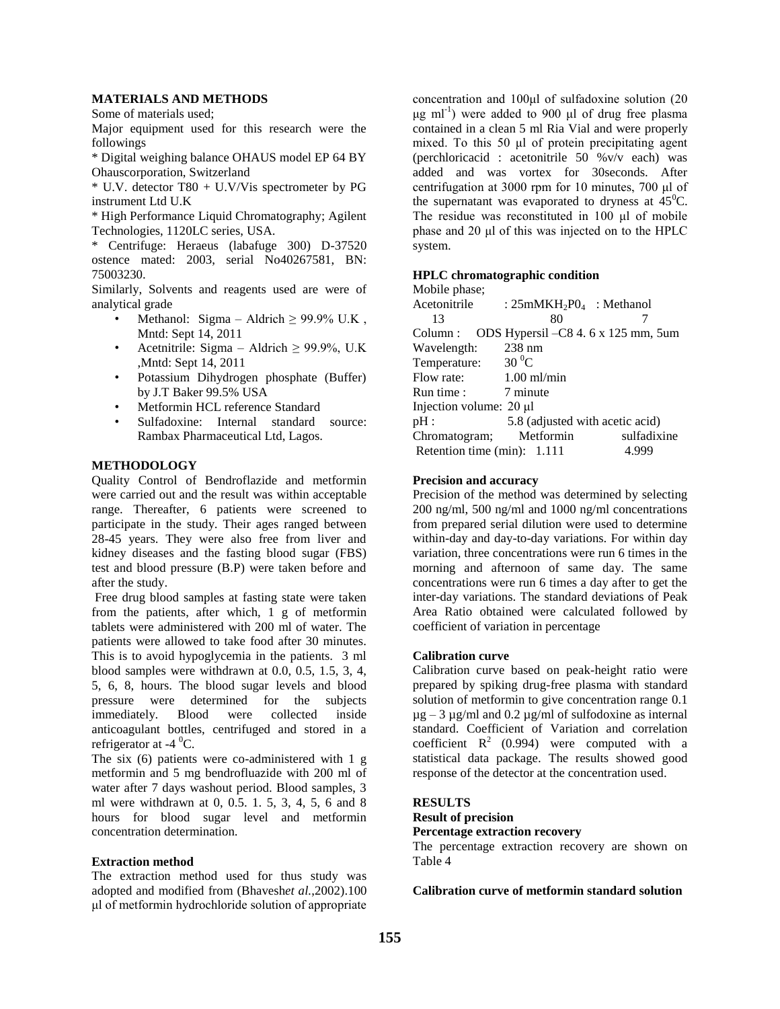#### **MATERIALS AND METHODS**

Some of materials used;

Major equipment used for this research were the followings

\* Digital weighing balance OHAUS model EP 64 BY Ohauscorporation, Switzerland

\* U.V. detector T80 + U.V/Vis spectrometer by PG instrument Ltd U.K

\* High Performance Liquid Chromatography; Agilent Technologies, 1120LC series, USA.

\* Centrifuge: Heraeus (labafuge 300) D-37520 ostence mated: 2003, serial No40267581, BN: 75003230.

Similarly, Solvents and reagents used are were of analytical grade

- Methanol: Sigma Aldrich  $\geq$  99.9% U.K. Mntd: Sept 14, 2011
- Acetnitrile: Sigma Aldrich  $\geq$  99.9%, U.K ,Mntd: Sept 14, 2011
- Potassium Dihydrogen phosphate (Buffer) by J.T Baker 99.5% USA
- Metformin HCL reference Standard
- Sulfadoxine: Internal standard source: Rambax Pharmaceutical Ltd, Lagos.

#### **METHODOLOGY**

Quality Control of Bendroflazide and metformin were carried out and the result was within acceptable range. Thereafter, 6 patients were screened to participate in the study. Their ages ranged between 28-45 years. They were also free from liver and kidney diseases and the fasting blood sugar (FBS) test and blood pressure (B.P) were taken before and after the study.

Free drug blood samples at fasting state were taken from the patients, after which, 1 g of metformin tablets were administered with 200 ml of water. The patients were allowed to take food after 30 minutes. This is to avoid hypoglycemia in the patients. 3 ml blood samples were withdrawn at 0.0, 0.5, 1.5, 3, 4, 5, 6, 8, hours. The blood sugar levels and blood pressure were determined for the subjects<br>immediately. Blood were collected inside immediately. Blood were collected inside anticoagulant bottles, centrifuged and stored in a refrigerator at  $-4$  <sup>0</sup>C.

The six (6) patients were co-administered with 1 g metformin and 5 mg bendrofluazide with 200 ml of water after 7 days washout period. Blood samples, 3 ml were withdrawn at 0, 0.5. 1. 5, 3, 4, 5, 6 and 8 hours for blood sugar level and metformin concentration determination.

#### **Extraction method**

The extraction method used for thus study was adopted and modified from (Bhavesh*et al.*,2002).100 μl of metformin hydrochloride solution of appropriate concentration and 100μl of sulfadoxine solution (20 μg ml<sup>-1</sup>) were added to 900 μl of drug free plasma contained in a clean 5 ml Ria Vial and were properly mixed. To this 50 μl of protein precipitating agent (perchloricacid : acetonitrile 50 %v/v each) was added and was vortex for 30seconds. After centrifugation at 3000 rpm for 10 minutes, 700 μl of the supernatant was evaporated to dryness at  $45^{\circ}$ C. The residue was reconstituted in 100 μl of mobile phase and 20 μl of this was injected on to the HPLC system.

#### **HPLC chromatographic condition**

| Mobile phase;                                                    |                                 |             |
|------------------------------------------------------------------|---------------------------------|-------------|
| $\text{Acetonitrile}$ : $25 \text{mMKH}_2\text{PQ}_4$ : Methanol |                                 |             |
| 13                                                               | 80                              |             |
| Column: ODS Hypersil - C8 4.6 x 125 mm, 5um                      |                                 |             |
| Wavelength:                                                      | 238 nm                          |             |
| Temperature: $30^{\circ}$ C                                      |                                 |             |
| Flow rate:                                                       | $1.00$ ml/min                   |             |
| Run time : 7 minute                                              |                                 |             |
| Injection volume: 20 µl                                          |                                 |             |
| pH:                                                              | 5.8 (adjusted with acetic acid) |             |
| Chromatogram; Metformin                                          |                                 | sulfadixine |
| Retention time $(min): 1.111$                                    |                                 | 4.999       |
|                                                                  |                                 |             |

#### **Precision and accuracy**

Precision of the method was determined by selecting 200 ng/ml, 500 ng/ml and 1000 ng/ml concentrations from prepared serial dilution were used to determine within-day and day-to-day variations. For within day variation, three concentrations were run 6 times in the morning and afternoon of same day. The same concentrations were run 6 times a day after to get the inter-day variations. The standard deviations of Peak Area Ratio obtained were calculated followed by coefficient of variation in percentage

#### **Calibration curve**

Calibration curve based on peak-height ratio were prepared by spiking drug-free plasma with standard solution of metformin to give concentration range 0.1  $\mu$ g – 3  $\mu$ g/ml and 0.2  $\mu$ g/ml of sulfodoxine as internal standard. Coefficient of Variation and correlation coefficient  $R^2$  (0.994) were computed with a statistical data package. The results showed good response of the detector at the concentration used.

#### **RESULTS**

## **Result of precision**

**Percentage extraction recovery**

The percentage extraction recovery are shown on Table 4

#### **Calibration curve of metformin standard solution**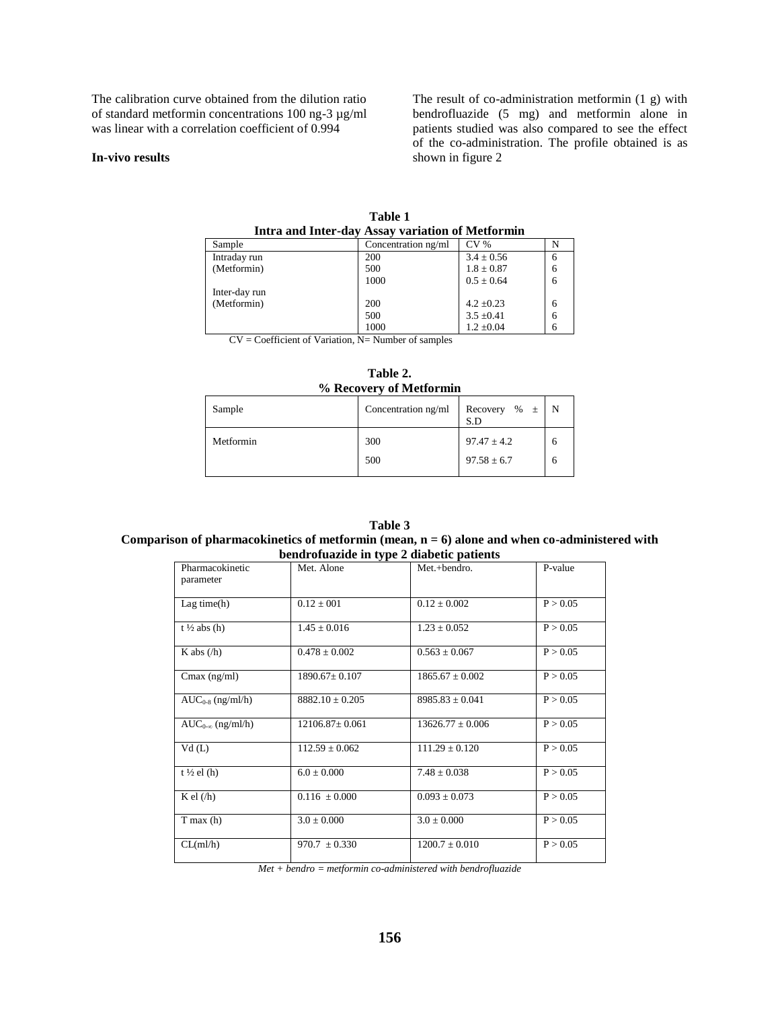The calibration curve obtained from the dilution ratio of standard metformin concentrations 100 ng-3 µg/ml was linear with a correlation coefficient of 0.994

#### **In-vivo results**

The result of co-administration metformin (1 g) with bendrofluazide (5 mg) and metformin alone in patients studied was also compared to see the effect of the co-administration. The profile obtained is as shown in figure 2

| Intra and Inter-day Assay variation of Metformin |                     |                 |   |
|--------------------------------------------------|---------------------|-----------------|---|
| Sample                                           | Concentration ng/ml | CV <sub>%</sub> | N |
| Intraday run                                     | 200                 | $3.4 \pm 0.56$  | 6 |
| (Metformin)                                      | 500                 | $1.8 \pm 0.87$  | 6 |
|                                                  | 1000                | $0.5 + 0.64$    | 6 |
| Inter-day run                                    |                     |                 |   |
| (Metformin)                                      | 200                 | $4.2 + 0.23$    | 6 |
|                                                  | 500                 | $3.5 \pm 0.41$  | 6 |
|                                                  | 1000                | $1.2 \pm 0.04$  | 6 |

**Table 1**

CV = Coefficient of Variation, N= Number of samples

**Table 2. % Recovery of Metformin**

| Sample    | Concentration ng/ml | Recovery % $\pm$<br>S.D            | N |
|-----------|---------------------|------------------------------------|---|
| Metformin | 300<br>500          | $97.47 \pm 4.2$<br>$97.58 \pm 6.7$ |   |

**Table 3 Comparison of pharmacokinetics of metformin (mean, n = 6) alone and when co-administered with bendrofuazide in type 2 diabetic patients**

| $\alpha$ beliai organic in type $\alpha$ diabelic patients |                      |                      |          |
|------------------------------------------------------------|----------------------|----------------------|----------|
| Pharmacokinetic<br>parameter                               | Met. Alone           | Met.+bendro.         | P-value  |
| Lag time(h)                                                | $0.12 \pm 0.01$      | $0.12 \pm 0.002$     | P > 0.05 |
| $t\frac{1}{2}$ abs (h)                                     | $1.45 \pm 0.016$     | $1.23 \pm 0.052$     | P > 0.05 |
| K abs $(\overline{h})$                                     | $0.478 \pm 0.002$    | $0.563 \pm 0.067$    | P > 0.05 |
| Cmax $(ng/ml)$                                             | $1890.67 \pm 0.107$  | $1865.67 \pm 0.002$  | P > 0.05 |
| $AUC_{0-8}$ (ng/ml/h)                                      | $8882.10 \pm 0.205$  | $8985.83 \pm 0.041$  | P > 0.05 |
| $AUC_{0-\infty}$ (ng/ml/h)                                 | $12106.87 \pm 0.061$ | $13626.77 \pm 0.006$ | P > 0.05 |
| Vd(L)                                                      | $112.59 \pm 0.062$   | $111.29 \pm 0.120$   | P > 0.05 |
| t ½ el $(h)$                                               | $6.0 \pm 0.000$      | $7.48 \pm 0.038$     | P > 0.05 |
| K el $(\overline{h})$                                      | $0.116 \pm 0.000$    | $0.093 \pm 0.073$    | P > 0.05 |
| $T$ max $(h)$                                              | $3.0 \pm 0.000$      | $3.0 \pm 0.000$      | P > 0.05 |
| CL(m1/h)                                                   | $970.7 \pm 0.330$    | $1200.7 \pm 0.010$   | P > 0.05 |

*Met + bendro = metformin co-administered with bendrofluazide*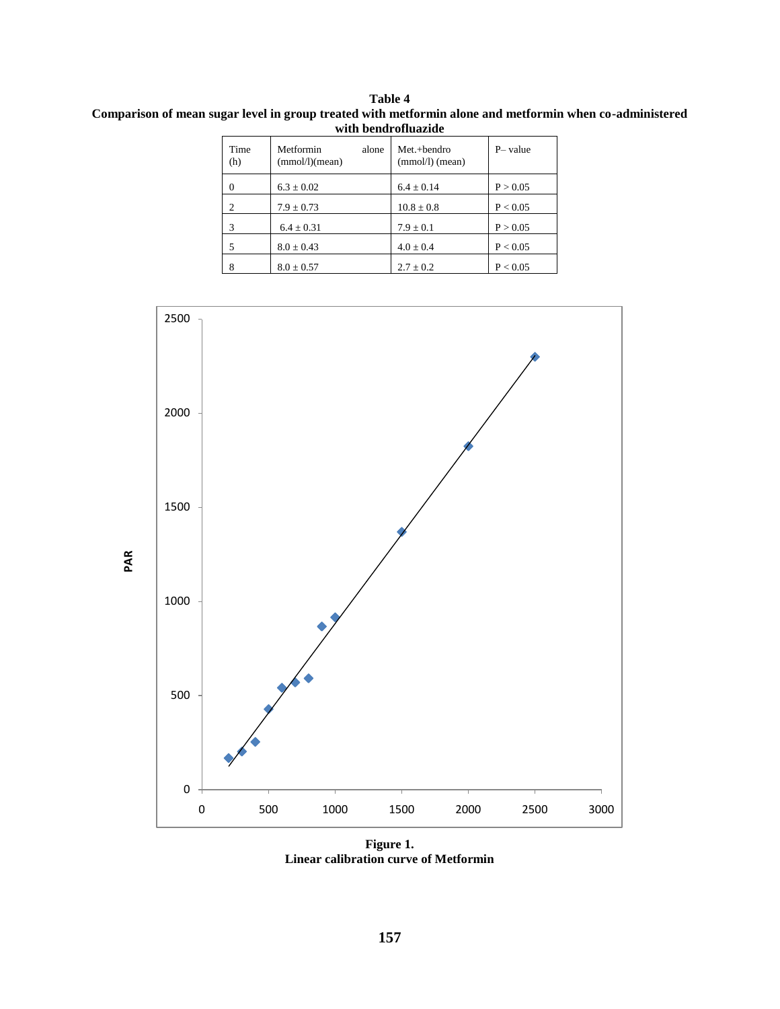**Table 4 Comparison of mean sugar level in group treated with metformin alone and metformin when co-administered with bendrofluazide**

| Time<br>(h)    | Metformin<br>alone<br>(mmol/l)(mean) | Met.+bendro<br>$(mmol/l)$ (mean) | P-value  |
|----------------|--------------------------------------|----------------------------------|----------|
| 0              | $6.3 \pm 0.02$                       | $6.4 \pm 0.14$                   | P > 0.05 |
| $\overline{c}$ | $7.9 \pm 0.73$                       | $10.8 \pm 0.8$                   | P < 0.05 |
| 3              | $6.4 \pm 0.31$                       | $7.9 \pm 0.1$                    | P > 0.05 |
| 5              | $8.0 \pm 0.43$                       | $4.0 \pm 0.4$                    | P < 0.05 |
| 8              | $8.0 \pm 0.57$                       | $2.7 \pm 0.2$                    | P < 0.05 |



**Figure 1. Linear calibration curve of Metformin**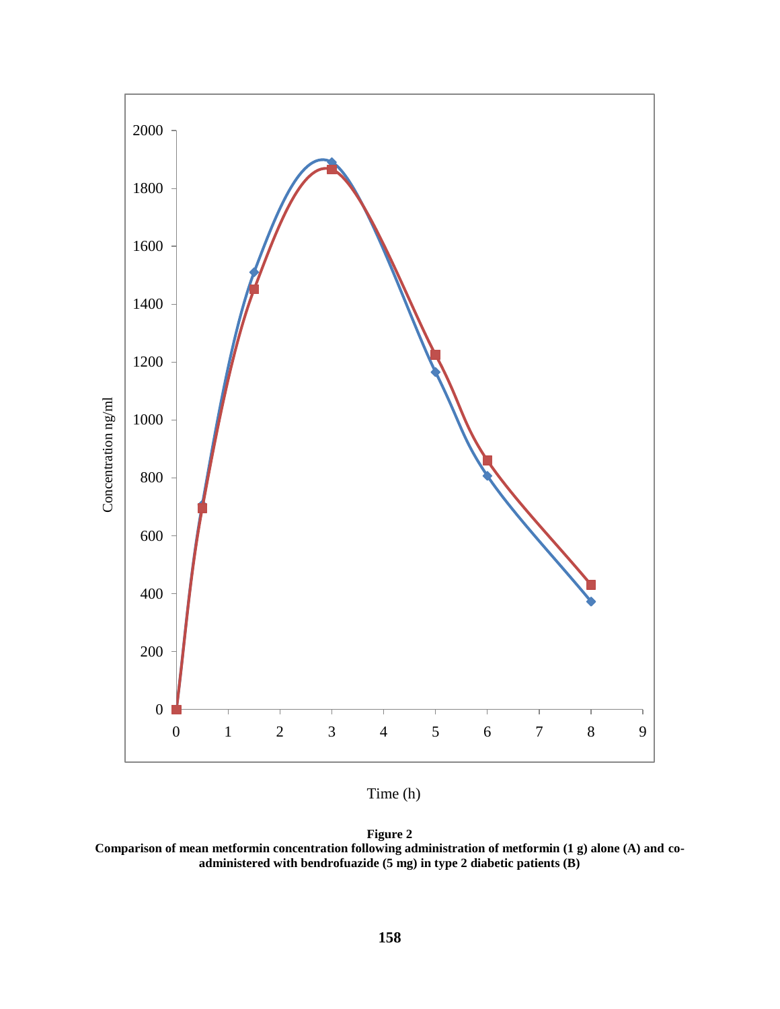

Time (h)



**Comparison of mean metformin concentration following administration of metformin (1 g) alone (A) and coadministered with bendrofuazide (5 mg) in type 2 diabetic patients (B)**